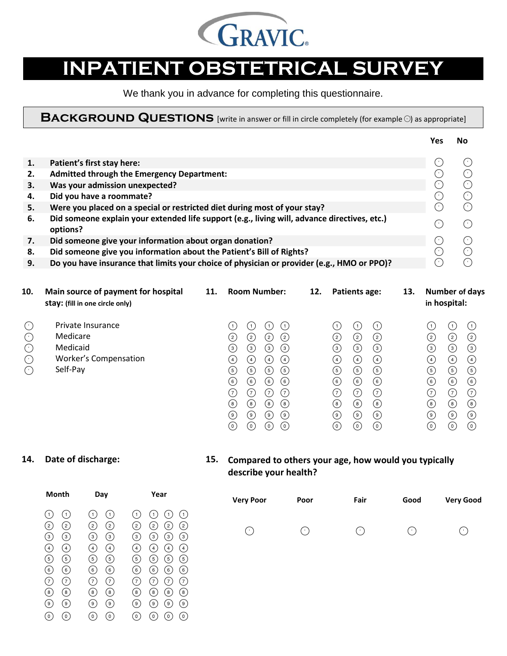

# **INPATIENT OBSTETRICAL SURVEY**

We thank you in advance for completing this questionnaire.

**BACKGROUND QUESTIONS** [write in answer or fill in circle completely (for example O) as appropriate]

|    |                                                                                              | Yes                                                 |    |
|----|----------------------------------------------------------------------------------------------|-----------------------------------------------------|----|
|    |                                                                                              |                                                     |    |
| 1. | Patient's first stay here:                                                                   | $\epsilon$                                          |    |
| 2. | <b>Admitted through the Emergency Department:</b>                                            | - 6                                                 |    |
| 3. | Was your admission unexpected?                                                               | $(\cdot)$                                           |    |
| 4. | Did you have a roommate?                                                                     | ( • )                                               | 7. |
| 5. | Were you placed on a special or restricted diet during most of your stay?                    | ( • )                                               |    |
| 6. | Did someone explain your extended life support (e.g., living will, advance directives, etc.) |                                                     |    |
|    | options?                                                                                     |                                                     |    |
| 7. | Did someone give your information about organ donation?                                      | $\left( \begin{array}{c} \cdot \end{array} \right)$ |    |
| 8. | Did someone give you information about the Patient's Bill of Rights?                         | .                                                   |    |
| 9. | Do you have insurance that limits your choice of physician or provider (e.g., HMO or PPO)?   |                                                     |    |
|    |                                                                                              |                                                     |    |

| 10.                                               | Main source of payment for hospital<br>stay: (fill in one circle only)                | 11. | <b>Room Number:</b>                                                                                                                                                                                                                                                                                                                                                                                                                                                | 12. | Patients age:                                                                                                                                                                                                                                                                                                                                                                                                                                        | 13. | <b>Number of days</b><br>in hospital:                                                                                                                                                                                                                                                                                                                                            |
|---------------------------------------------------|---------------------------------------------------------------------------------------|-----|--------------------------------------------------------------------------------------------------------------------------------------------------------------------------------------------------------------------------------------------------------------------------------------------------------------------------------------------------------------------------------------------------------------------------------------------------------------------|-----|------------------------------------------------------------------------------------------------------------------------------------------------------------------------------------------------------------------------------------------------------------------------------------------------------------------------------------------------------------------------------------------------------------------------------------------------------|-----|----------------------------------------------------------------------------------------------------------------------------------------------------------------------------------------------------------------------------------------------------------------------------------------------------------------------------------------------------------------------------------|
| $\mathbb C$<br>C<br>C<br>C<br>$\circlearrowright$ | Private Insurance<br>Medicare<br>Medicaid<br><b>Worker's Compensation</b><br>Self-Pay |     | (1)<br>$\overline{1}$<br>(2)<br>2)<br>2)<br>$^{(2)}$<br>$\circled{3}$<br>$\circled{3}$<br>③<br>$^{\rm (3)}$<br>$\left( 4\right)$<br>$\left( 4\right)$<br>(4)<br>(4)<br>$\left(5\right)$<br>(5)<br>$\circled{5}$<br>(5)<br>$\odot$<br>$_{\rm (6)}$<br>〔6〕<br>(6)<br>(7)<br>(7)<br>(7)<br>(7)<br>$_{\rm (8)}$<br>$^{\rm (8)}$<br>$^{(8)}$<br>$^{(8)}$<br>$_{\circledcirc}$<br>$_{\tiny \odot}$<br>( 9 )<br>( 9 )<br>$_{\odot}$<br>$(\mathfrak{o})$<br>$\circ$<br>(0) |     | (1)<br>(1)<br>$\mathbf{1}$<br>(2)<br>②<br>$\rm _{(2)}$<br>$\circled{3}$<br>$\odot$<br>$\circled{3}$<br>$\circled{4}$<br>$\circled{4}$<br>$\circled{4}$<br>$\circled{5}$<br>$\circled{5}$<br>$\circled{5}$<br>$\circled{\scriptstyle \circ}$<br>$_{\rm (6)}$<br>$\left( 6\right)$<br>ℂ<br>⊙<br>$\circled{c}$<br>$_{\rm (8)}$<br>$\circled{\scriptstyle 8}$<br>$^{(8)}$<br>◉<br>$_{\circledcirc}$<br>$_{\circledcirc}$<br>$_{\odot}$<br>$\odot$<br>(0) |     | (1)<br>(1<br>$\overline{1}$<br>(2)<br>$\rm (2)$<br>2)<br>$\circled{3}$<br>$_{\tiny \textcircled{\scriptsize{3}}}$<br>③<br>$\left( 4\right)$<br>(4)<br>(4)<br>$\circ$<br>$\circled{5}$<br>(5)<br>$\odot$<br>$_{\rm (6)}$<br>(6)<br>(7)<br>(7)<br>7<br>$\circled{\scriptstyle\rm s}$<br>$^{(8)}$<br>$^{\rm (8)}$<br>$\circledcirc$<br>(9)<br>( ၁ )<br>$\odot$<br>$_{\odot}$<br>່0່ |

# **14. Date of discharge: 15. Compared to others your age, how would you typically describe your health?**

| Day                                                                                                                                                                                                                                                                          | Year                                                                                                                                                                                                                                                                                                                                                                              | <b>Very Poor</b>                | Poor | Fair      | Good      | <b>Very Go</b> |
|------------------------------------------------------------------------------------------------------------------------------------------------------------------------------------------------------------------------------------------------------------------------------|-----------------------------------------------------------------------------------------------------------------------------------------------------------------------------------------------------------------------------------------------------------------------------------------------------------------------------------------------------------------------------------|---------------------------------|------|-----------|-----------|----------------|
| (1<br>$\rm(2)$<br>⊚<br>$_{\tiny \odot}$<br>(4)<br>$\left( 4\right)$<br>$\odot$<br>$\circledcirc$<br>$\circled{\scriptstyle \circ}$<br>$\circled{\scriptstyle 6}$<br>(7)<br>(7)<br>◉<br>$\circledS$<br>$_{\textcircled{\scriptsize{9}}}$<br>$_{\textcircled{\scriptsize{9}}}$ | (1)<br>1<br>$\overline{1}$<br>②<br>$\rm _{(2)}$<br>(2)<br>$^{(2)}$<br>$^{\rm (3)}$<br>(з)<br>$\circled{3}$<br>$\left(3\right)$<br>(4)<br>(4)<br>⊍<br>(4)<br>G)<br>(5)<br>$\circled{5}$<br>(5)<br>$_{\rm (6)}$<br>(6)<br>$\left( 6\right)$<br>(6)<br>(7)<br>(7)<br>(7)<br>(7)<br>$^{\rm (8)}$<br>$^{\rm (8)}$<br>$^{(8)}$<br>(8)<br>$\circledcirc$<br>( )<br>$\circledcirc$<br>(9) | $(\ \cdot \ )$                  | ('   | $(\cdot)$ | $(\cdot)$ | $(\cdot)$      |
|                                                                                                                                                                                                                                                                              |                                                                                                                                                                                                                                                                                                                                                                                   |                                 |      |           |           |                |
|                                                                                                                                                                                                                                                                              | $\odot$<br>$\circledcirc$                                                                                                                                                                                                                                                                                                                                                         | $_{\odot}$<br>(o)<br>(0)<br>(0) |      |           |           |                |

| <b>NONTH</b> | <b>Dav</b> | rear                                                                                                                                                                                                                                                                                                                                                                                                                                                                                                                                                                                                                                                                                                                                                                                                                                                                                                                                                                                                                                                                                                                                               | <b>Very Poor</b> | Poor       | Fair                 | Good      | <b>Very Good</b> |
|--------------|------------|----------------------------------------------------------------------------------------------------------------------------------------------------------------------------------------------------------------------------------------------------------------------------------------------------------------------------------------------------------------------------------------------------------------------------------------------------------------------------------------------------------------------------------------------------------------------------------------------------------------------------------------------------------------------------------------------------------------------------------------------------------------------------------------------------------------------------------------------------------------------------------------------------------------------------------------------------------------------------------------------------------------------------------------------------------------------------------------------------------------------------------------------------|------------------|------------|----------------------|-----------|------------------|
|              |            | $\begin{array}{ccccccccccccccccc} \circlearrowleft & \circlearrowleft & \circlearrowleft & \circlearrowright & \circlearrowleft & \circlearrowright & \circlearrowright & \circlearrowright & \circlearrowright & \circlearrowright & \circlearrowright & \circlearrowright & \circlearrowright & \circlearrowright & \circlearrowright & \circlearrowright & \circlearrowright & \circlearrowright & \circlearrowright & \circlearrowright & \circlearrowright & \circlearrowright & \circlearrowright & \circlearrowright & \circlearrowright & \circlearrowright & \circlearrowright & \circlearrowright & \circlearrowright & \circlearrowright & \circlearrowright & \circlearrowright & \circlearrowright & \circlearrowright & \circlearrowright$<br>$(2)$ $(2)$ $(2)$ $(2)$ $(2)$ $(2)$ $(2)$ $(2)$<br>$\begin{array}{ccc} \textcircled{\small 3} & \textcircled{\small 4} \end{array}$ $\begin{array}{ccc} \textcircled{\small 1} & \textcircled{\small 4} \end{array}$ $\begin{array}{ccc} \textcircled{\small 1} & \textcircled{\small 2} \end{array}$ $\begin{array}{ccc} \textcircled{\small 4} & \textcircled{\small 5} \end{array}$ |                  | $\bigcirc$ | $\left(\cdot\right)$ | $(\cdot)$ |                  |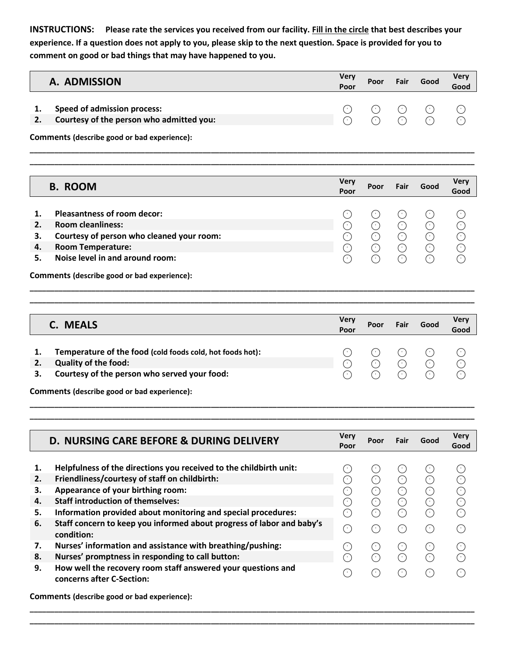**INSTRUCTIONS: Please rate the services you received from our facility. Fill in the circle that best describes your experience. If a question does not apply to you, please skip to the next question. Space is provided for you to comment on good or bad things that may have happened to you.**

## **A. ADMISSION Very Poor Poor Fair Good Very Good**

**1.** Speed of admission process:<br> **2.** Courtesy of the person who admitted you:<br> **2.** Courtesy of the person who admitted you: **2. Courtesy of the person who admitted you:**

**\_\_\_\_\_\_\_\_\_\_\_\_\_\_\_\_\_\_\_\_\_\_\_\_\_\_\_\_\_\_\_\_\_\_\_\_\_\_\_\_\_\_\_\_\_\_\_\_\_\_\_\_\_\_\_\_\_\_\_\_\_\_\_\_\_\_\_\_\_\_\_\_\_\_\_\_\_\_\_\_\_\_\_\_\_\_\_\_\_\_\_\_\_\_\_\_\_\_\_\_\_\_\_\_\_\_\_\_ \_\_\_\_\_\_\_\_\_\_\_\_\_\_\_\_\_\_\_\_\_\_\_\_\_\_\_\_\_\_\_\_\_\_\_\_\_\_\_\_\_\_\_\_\_\_\_\_\_\_\_\_\_\_\_\_\_\_\_\_\_\_\_\_\_\_\_\_\_\_\_\_\_\_\_\_\_\_\_\_\_\_\_\_\_\_\_\_\_\_\_\_\_\_\_\_\_\_\_\_\_\_\_\_\_\_\_\_**

**Comments (describe good or bad experience):**

|    | <b>B. ROOM</b>                            | <b>Very</b><br>Poor         | Poor | Fair           | Good           | <b>Very</b><br>Good   |
|----|-------------------------------------------|-----------------------------|------|----------------|----------------|-----------------------|
|    | <b>Pleasantness of room decor:</b>        | <b>CO</b>                   | (' . | $(\ \cdot \ )$ | ( <sup>+</sup> | <b>P</b>              |
| 2. | <b>Room cleanliness:</b>                  | 1 C                         | (* ) | $(\cdot)$      | $(\cdot)$      | $(\dot{\phantom{x}})$ |
| З. | Courtesy of person who cleaned your room: | 1 C                         | (* ) | $(\cdot)$      | $(\cdot)$      | $(\cdot)$             |
| 4. | <b>Room Temperature:</b>                  | ( c )                       | (* ) | $(\cdot)$      | $(\cdot)$      | ۰                     |
|    | Noise level in and around room:           | $\mathcal{L}_{\mathcal{A}}$ | Ξ.   | $(\cdot)$      | ( • )          | 14 P                  |

**Comments (describe good or bad experience):**

| C. MEALS                                                                                                                                 | <b>Very</b><br>Poor | Poor                                 | Fair                 | Good           | Very<br>Good |
|------------------------------------------------------------------------------------------------------------------------------------------|---------------------|--------------------------------------|----------------------|----------------|--------------|
| Temperature of the food (cold foods cold, hot foods hot):<br><b>Quality of the food:</b><br>Courtesy of the person who served your food: | 1 C                 | $(\cdot)$<br>∩<br>$\curvearrowright$ | $(\cdot)$<br>∩<br>Я, | $(\cdot)$<br>∩ | C<br>C<br>⌒  |
| Comments (describe good or bad experience):                                                                                              |                     |                                      |                      |                |              |

**\_\_\_\_\_\_\_\_\_\_\_\_\_\_\_\_\_\_\_\_\_\_\_\_\_\_\_\_\_\_\_\_\_\_\_\_\_\_\_\_\_\_\_\_\_\_\_\_\_\_\_\_\_\_\_\_\_\_\_\_\_\_\_\_\_\_\_\_\_\_\_\_\_\_\_\_\_\_\_\_\_\_\_\_\_\_\_\_\_\_\_\_\_\_\_\_\_\_\_\_\_\_\_\_\_\_\_\_ \_\_\_\_\_\_\_\_\_\_\_\_\_\_\_\_\_\_\_\_\_\_\_\_\_\_\_\_\_\_\_\_\_\_\_\_\_\_\_\_\_\_\_\_\_\_\_\_\_\_\_\_\_\_\_\_\_\_\_\_\_\_\_\_\_\_\_\_\_\_\_\_\_\_\_\_\_\_\_\_\_\_\_\_\_\_\_\_\_\_\_\_\_\_\_\_\_\_\_\_\_\_\_\_\_\_\_\_**

**\_\_\_\_\_\_\_\_\_\_\_\_\_\_\_\_\_\_\_\_\_\_\_\_\_\_\_\_\_\_\_\_\_\_\_\_\_\_\_\_\_\_\_\_\_\_\_\_\_\_\_\_\_\_\_\_\_\_\_\_\_\_\_\_\_\_\_\_\_\_\_\_\_\_\_\_\_\_\_\_\_\_\_\_\_\_\_\_\_\_\_\_\_\_\_\_\_\_\_\_\_\_\_\_\_\_\_\_ \_\_\_\_\_\_\_\_\_\_\_\_\_\_\_\_\_\_\_\_\_\_\_\_\_\_\_\_\_\_\_\_\_\_\_\_\_\_\_\_\_\_\_\_\_\_\_\_\_\_\_\_\_\_\_\_\_\_\_\_\_\_\_\_\_\_\_\_\_\_\_\_\_\_\_\_\_\_\_\_\_\_\_\_\_\_\_\_\_\_\_\_\_\_\_\_\_\_\_\_\_\_\_\_\_\_\_\_**

|                                  | <b>D. NURSING CARE BEFORE &amp; DURING DELIVERY</b>                                                                                                                                                                                                                                                                                                          | <b>Very</b><br>Poor                                                       | Poor                                                               | <b>Fair</b>                                         | Good                                             | <b>Very</b><br>Good                |
|----------------------------------|--------------------------------------------------------------------------------------------------------------------------------------------------------------------------------------------------------------------------------------------------------------------------------------------------------------------------------------------------------------|---------------------------------------------------------------------------|--------------------------------------------------------------------|-----------------------------------------------------|--------------------------------------------------|------------------------------------|
| 1.<br>2.<br>З.<br>4.<br>5.<br>6. | Helpfulness of the directions you received to the childbirth unit:<br>Friendliness/courtesy of staff on childbirth:<br>Appearance of your birthing room:<br><b>Staff introduction of themselves:</b><br>Information provided about monitoring and special procedures:<br>Staff concern to keep you informed about progress of labor and baby's<br>condition: | (*)<br>(* )<br>-11<br>$\left( \begin{array}{c} \cdot \end{array} \right)$ | $(\ \cdot \ )$<br>$(\cdot)$<br>$(\cdot)$<br>$(\cdot)$<br>$(\cdot)$ | $\circlearrowleft$<br>⊙<br>⊙<br>⊙<br>⊙<br>$(\cdot)$ | $(\cdot)$<br>$(\cdot)$<br>$(\cdot)$<br>$(\cdot)$ | $(\cdot)$<br>C<br>C<br>C<br>∩<br>∩ |
| 7.<br>8.<br>9.                   | Nurses' information and assistance with breathing/pushing:<br>Nurses' promptness in responding to call button:<br>How well the recovery room staff answered your questions and<br>concerns after C-Section:                                                                                                                                                  | .                                                                         | ↺<br>∩<br>œ                                                        | ↺<br>∩<br>(+)                                       | $(\cdot)$<br>$\left(\cdot\right)$                | $\left(\cdot\right)$<br>∩<br>⌒     |

**\_\_\_\_\_\_\_\_\_\_\_\_\_\_\_\_\_\_\_\_\_\_\_\_\_\_\_\_\_\_\_\_\_\_\_\_\_\_\_\_\_\_\_\_\_\_\_\_\_\_\_\_\_\_\_\_\_\_\_\_\_\_\_\_\_\_\_\_\_\_\_\_\_\_\_\_\_\_\_\_\_\_\_\_\_\_\_\_\_\_\_\_\_\_\_\_\_\_\_\_\_\_\_\_\_\_\_\_ \_\_\_\_\_\_\_\_\_\_\_\_\_\_\_\_\_\_\_\_\_\_\_\_\_\_\_\_\_\_\_\_\_\_\_\_\_\_\_\_\_\_\_\_\_\_\_\_\_\_\_\_\_\_\_\_\_\_\_\_\_\_\_\_\_\_\_\_\_\_\_\_\_\_\_\_\_\_\_\_\_\_\_\_\_\_\_\_\_\_\_\_\_\_\_\_\_\_\_\_\_\_\_\_\_\_\_\_**

**Comments (describe good or bad experience):**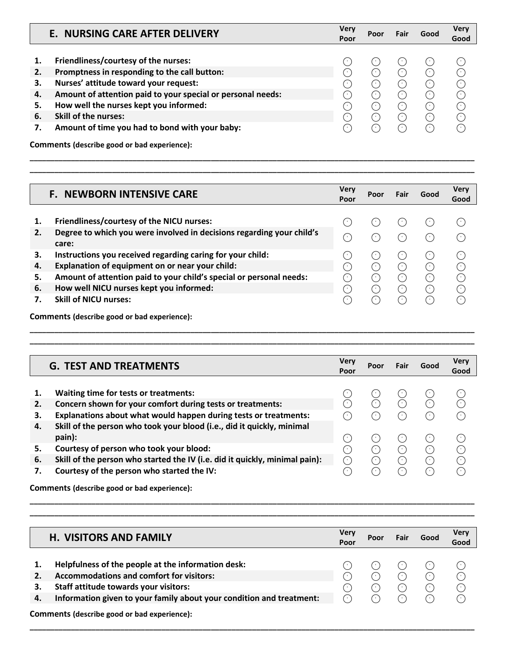|                                  | E. NURSING CARE AFTER DELIVERY                                                                                                                                                                                                                                                                                          | <b>Very</b><br>Poor                | Poor                                                                                                                               | Fair                                              | Good                                                                 | <b>Verv</b><br>Good                                         |
|----------------------------------|-------------------------------------------------------------------------------------------------------------------------------------------------------------------------------------------------------------------------------------------------------------------------------------------------------------------------|------------------------------------|------------------------------------------------------------------------------------------------------------------------------------|---------------------------------------------------|----------------------------------------------------------------------|-------------------------------------------------------------|
| 2.<br>З.<br>4.<br>5.<br>6.<br>7. | Friendliness/courtesy of the nurses:<br>Promptness in responding to the call button:<br>Nurses' attitude toward your request:<br>Amount of attention paid to your special or personal needs:<br>How well the nurses kept you informed:<br><b>Skill of the nurses:</b><br>Amount of time you had to bond with your baby: | $\epsilon$<br>$\sim$<br>$\epsilon$ | ۰<br>$\left( \begin{array}{c} \cdot \end{array} \right)$<br>88<br>$\left( \begin{array}{c} \cdot \end{array} \right)$<br>88<br>7 O | O<br>$(\cdot)$<br>$(\cdot)$<br>∩<br>⊙<br>∩<br>(∴) | $(\cdot)$<br>$(\cdot)$<br>$(\cdot)$<br>$(\cdot)$<br>$(\cdot)$<br>( ^ | ('<br>C<br>⊙<br>€<br>O<br>$(\cdot)$<br>$\left(\cdot\right)$ |
|                                  | Comments (describe good or bad experience):                                                                                                                                                                                                                                                                             |                                    |                                                                                                                                    |                                                   |                                                                      |                                                             |

**\_\_\_\_\_\_\_\_\_\_\_\_\_\_\_\_\_\_\_\_\_\_\_\_\_\_\_\_\_\_\_\_\_\_\_\_\_\_\_\_\_\_\_\_\_\_\_\_\_\_\_\_\_\_\_\_\_\_\_\_\_\_\_\_\_\_\_\_\_\_\_\_\_\_\_\_\_\_\_\_\_\_\_\_\_\_\_\_\_\_\_\_\_\_\_\_\_\_\_\_\_\_\_\_\_\_\_\_ \_\_\_\_\_\_\_\_\_\_\_\_\_\_\_\_\_\_\_\_\_\_\_\_\_\_\_\_\_\_\_\_\_\_\_\_\_\_\_\_\_\_\_\_\_\_\_\_\_\_\_\_\_\_\_\_\_\_\_\_\_\_\_\_\_\_\_\_\_\_\_\_\_\_\_\_\_\_\_\_\_\_\_\_\_\_\_\_\_\_\_\_\_\_\_\_\_\_\_\_\_\_\_\_\_\_\_\_**

|    | <b>F. NEWBORN INTENSIVE CARE</b>                                      | <b>Very</b><br>Poor | Poor                                                | Fair                                                 | Good  | <b>Very</b><br>Good |
|----|-----------------------------------------------------------------------|---------------------|-----------------------------------------------------|------------------------------------------------------|-------|---------------------|
|    |                                                                       |                     |                                                     |                                                      |       |                     |
| 1. | Friendliness/courtesy of the NICU nurses:                             |                     |                                                     | 99                                                   |       | ( • )               |
| 2. | Degree to which you were involved in decisions regarding your child's | 0                   | (* )                                                | ۰.,                                                  | ('    | ⌒                   |
|    | care:                                                                 |                     |                                                     |                                                      |       |                     |
| З. | Instructions you received regarding caring for your child:            |                     | $\left( \begin{array}{c} \cdot \end{array} \right)$ | $\left( \begin{array}{c} 1 \\ 1 \end{array} \right)$ | ('    | $(\cdot)$           |
| 4. | Explanation of equipment on or near your child:                       | Т,                  | ( 1                                                 | $\left(\cdot\right)$                                 | ( • ) | C                   |
| 5. | Amount of attention paid to your child's special or personal needs:   |                     | ( • )                                               | $(\cdot)$                                            | ( • ) | C                   |
| 6. | How well NICU nurses kept you informed:                               | .                   | ( • )                                               | $(\cdot)$                                            | ('    | ∩                   |
|    | <b>Skill of NICU nurses:</b>                                          |                     | 7 C I                                               | 99                                                   |       | (^                  |
|    | Comments (describe good or bad experience):                           |                     |                                                     |                                                      |       |                     |

**\_\_\_\_\_\_\_\_\_\_\_\_\_\_\_\_\_\_\_\_\_\_\_\_\_\_\_\_\_\_\_\_\_\_\_\_\_\_\_\_\_\_\_\_\_\_\_\_\_\_\_\_\_\_\_\_\_\_\_\_\_\_\_\_\_\_\_\_\_\_\_\_\_\_\_\_\_\_\_\_\_\_\_\_\_\_\_\_\_\_\_\_\_\_\_\_\_\_\_\_\_\_\_\_\_\_\_\_ \_\_\_\_\_\_\_\_\_\_\_\_\_\_\_\_\_\_\_\_\_\_\_\_\_\_\_\_\_\_\_\_\_\_\_\_\_\_\_\_\_\_\_\_\_\_\_\_\_\_\_\_\_\_\_\_\_\_\_\_\_\_\_\_\_\_\_\_\_\_\_\_\_\_\_\_\_\_\_\_\_\_\_\_\_\_\_\_\_\_\_\_\_\_\_\_\_\_\_\_\_\_\_\_\_\_\_\_**

|                | <b>G. TEST AND TREATMENTS</b>                                                                                                                                           | <b>Very</b><br>Poor               | Poor                      | Fair                    | Good                         | <b>Very</b><br>Good |
|----------------|-------------------------------------------------------------------------------------------------------------------------------------------------------------------------|-----------------------------------|---------------------------|-------------------------|------------------------------|---------------------|
| 2.<br>З.       | Waiting time for tests or treatments:<br>Concern shown for your comfort during tests or treatments:<br>Explanations about what would happen during tests or treatments: |                                   | ۰,<br>.                   | (11<br>(* )             | G C<br>$(\cdot)$             | m,<br>⌒             |
| 4.             | Skill of the person who took your blood (i.e., did it quickly, minimal<br>pain):                                                                                        | (*                                | . .                       |                         | ('                           | $\epsilon$          |
| 5.<br>6.<br>7. | Courtesy of person who took your blood:<br>Skill of the person who started the IV (i.e. did it quickly, minimal pain):<br>Courtesy of the person who started the IV:    | 99<br>$\left(\cdot\right)$<br>5 K | $(\cdot)$<br>( • )<br>. . | (∴)<br>$(\cdot)$<br>(*) | $(\cdot)$<br>$(\cdot)$<br>(' | ⊙<br>€<br>∩         |
|                | Comments (describe good or bad experience):                                                                                                                             |                                   |                           |                         |                              |                     |

**\_\_\_\_\_\_\_\_\_\_\_\_\_\_\_\_\_\_\_\_\_\_\_\_\_\_\_\_\_\_\_\_\_\_\_\_\_\_\_\_\_\_\_\_\_\_\_\_\_\_\_\_\_\_\_\_\_\_\_\_\_\_\_\_\_\_\_\_\_\_\_\_\_\_\_\_\_\_\_\_\_\_\_\_\_\_\_\_\_\_\_\_\_\_\_\_\_\_\_\_\_\_\_\_\_\_\_\_ H. VISITORS AND FAMILY Very Poor Poor Fair Good Very Good 1. Helpfulness of the people at the information desk:**<br> **2. Accommodations and comfort for visitors:**<br> **3.** Staff attitude towards your visitors:<br> **4.** Information given to your family about your condition and treatme **2. Accommodations and comfort for visitors: 3. Staff attitude towards your visitors: 4. Information given to your family about your condition and treatment: Comments (describe good or bad experience):**

**\_\_\_\_\_\_\_\_\_\_\_\_\_\_\_\_\_\_\_\_\_\_\_\_\_\_\_\_\_\_\_\_\_\_\_\_\_\_\_\_\_\_\_\_\_\_\_\_\_\_\_\_\_\_\_\_\_\_\_\_\_\_\_\_\_\_\_\_\_\_\_\_\_\_\_\_\_\_\_\_\_\_\_\_\_\_\_\_\_\_\_\_\_\_\_\_\_\_\_\_\_\_\_\_\_\_\_\_**

**\_\_\_\_\_\_\_\_\_\_\_\_\_\_\_\_\_\_\_\_\_\_\_\_\_\_\_\_\_\_\_\_\_\_\_\_\_\_\_\_\_\_\_\_\_\_\_\_\_\_\_\_\_\_\_\_\_\_\_\_\_\_\_\_\_\_\_\_\_\_\_\_\_\_\_\_\_\_\_\_\_\_\_\_\_\_\_\_\_\_\_\_\_\_\_\_\_\_\_\_\_\_\_\_\_\_\_\_**